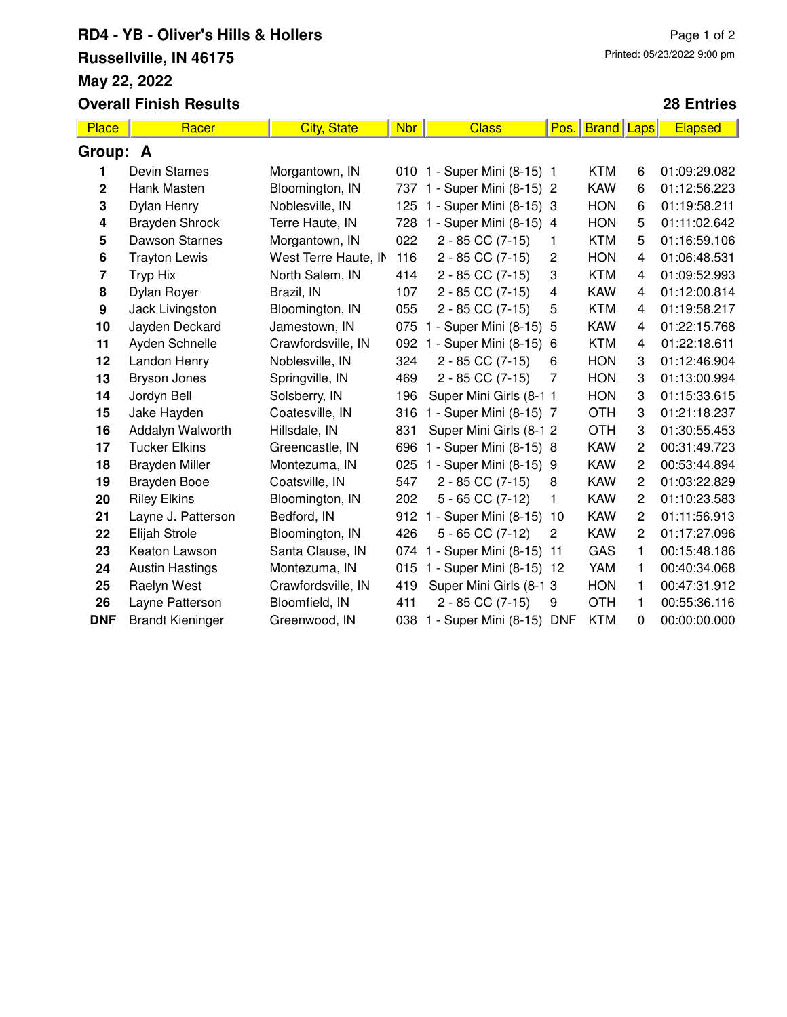## **RD4 - YB - Oliver's Hills & Hollers Russellville, IN 46175 May 22, 2022 Overall Finish Results**

## **28 Entries**

| Place       | Racer                   | <b>City, State</b>   | <b>Nbr</b> | <b>Class</b>                 | Pos.           | <b>Brand</b> | Laps           | <b>Elapsed</b> |  |
|-------------|-------------------------|----------------------|------------|------------------------------|----------------|--------------|----------------|----------------|--|
| Group: A    |                         |                      |            |                              |                |              |                |                |  |
|             | Devin Starnes           | Morgantown, IN       |            | 010 1 - Super Mini (8-15) 1  |                | <b>KTM</b>   | 6              | 01:09:29.082   |  |
| $\mathbf 2$ | Hank Masten             | Bloomington, IN      | 737        | - Super Mini (8-15) 2<br>1   |                | <b>KAW</b>   | 6              | 01:12:56.223   |  |
| 3           | Dylan Henry             | Noblesville, IN      | 125        | 1 - Super Mini (8-15) 3      |                | <b>HON</b>   | 6              | 01:19:58.211   |  |
| 4           | <b>Brayden Shrock</b>   | Terre Haute, IN      |            | 728 1 - Super Mini (8-15) 4  |                | <b>HON</b>   | 5              | 01:11:02.642   |  |
| 5           | Dawson Starnes          | Morgantown, IN       | 022        | 2 - 85 CC (7-15)             | 1              | <b>KTM</b>   | 5              | 01:16:59.106   |  |
| 6           | <b>Trayton Lewis</b>    | West Terre Haute, IN | 116        | 2 - 85 CC (7-15)             | $\overline{c}$ | <b>HON</b>   | 4              | 01:06:48.531   |  |
| 7           | <b>Tryp Hix</b>         | North Salem, IN      | 414        | 2 - 85 CC (7-15)             | 3              | <b>KTM</b>   | 4              | 01:09:52.993   |  |
| 8           | Dylan Royer             | Brazil, IN           | 107        | 2 - 85 CC (7-15)             | 4              | <b>KAW</b>   | 4              | 01:12:00.814   |  |
| 9           | Jack Livingston         | Bloomington, IN      | 055        | 2 - 85 CC (7-15)             | 5              | <b>KTM</b>   | 4              | 01:19:58.217   |  |
| 10          | Jayden Deckard          | Jamestown, IN        |            | 075 1 - Super Mini (8-15) 5  |                | <b>KAW</b>   | 4              | 01:22:15.768   |  |
| 11          | Ayden Schnelle          | Crawfordsville, IN   | 092        | 1 - Super Mini (8-15) 6      |                | <b>KTM</b>   | $\overline{4}$ | 01:22:18.611   |  |
| 12          | Landon Henry            | Noblesville, IN      | 324        | 2 - 85 CC (7-15)             | 6              | <b>HON</b>   | 3              | 01:12:46.904   |  |
| 13          | <b>Bryson Jones</b>     | Springville, IN      | 469        | 2 - 85 CC (7-15)             | 7              | <b>HON</b>   | 3              | 01:13:00.994   |  |
| 14          | Jordyn Bell             | Solsberry, IN        | 196        | Super Mini Girls (8-1 1      |                | <b>HON</b>   | 3              | 01:15:33.615   |  |
| 15          | Jake Hayden             | Coatesville, IN      | 316        | 1 - Super Mini (8-15) 7      |                | <b>OTH</b>   | 3              | 01:21:18.237   |  |
| 16          | Addalyn Walworth        | Hillsdale, IN        | 831        | Super Mini Girls (8-1 2      |                | <b>OTH</b>   | 3              | 01:30:55.453   |  |
| 17          | <b>Tucker Elkins</b>    | Greencastle, IN      | 696        | 1 - Super Mini (8-15) 8      |                | <b>KAW</b>   | 2              | 00:31:49.723   |  |
| 18          | <b>Brayden Miller</b>   | Montezuma, IN        |            | 025 1 - Super Mini (8-15) 9  |                | <b>KAW</b>   | $\overline{c}$ | 00:53:44.894   |  |
| 19          | <b>Brayden Booe</b>     | Coatsville, IN       | 547        | 2 - 85 CC (7-15)             | 8              | <b>KAW</b>   | 2              | 01:03:22.829   |  |
| 20          | <b>Riley Elkins</b>     | Bloomington, IN      | 202        | $5 - 65$ CC $(7-12)$         | 1              | <b>KAW</b>   | 2              | 01:10:23.583   |  |
| 21          | Layne J. Patterson      | Bedford, IN          |            | 912 1 - Super Mini (8-15)    | 10             | <b>KAW</b>   | 2              | 01:11:56.913   |  |
| 22          | Elijah Strole           | Bloomington, IN      | 426        | $5 - 65$ CC $(7-12)$         | $\overline{c}$ | <b>KAW</b>   | $\overline{c}$ | 01:17:27.096   |  |
| 23          | Keaton Lawson           | Santa Clause, IN     |            | 074 1 - Super Mini (8-15) 11 |                | GAS          | 1              | 00:15:48.186   |  |
| 24          | <b>Austin Hastings</b>  | Montezuma, IN        |            | 015 1 - Super Mini (8-15) 12 |                | YAM          | 1              | 00:40:34.068   |  |
| 25          | Raelyn West             | Crawfordsville, IN   | 419        | Super Mini Girls (8-1 3      |                | <b>HON</b>   | 1              | 00:47:31.912   |  |
| 26          | Layne Patterson         | Bloomfield, IN       | 411        | 2 - 85 CC (7-15)             | 9              | <b>OTH</b>   | 1              | 00:55:36.116   |  |
| <b>DNF</b>  | <b>Brandt Kieninger</b> | Greenwood, IN        |            | 038 1 - Super Mini (8-15)    | <b>DNF</b>     | <b>KTM</b>   | $\mathbf 0$    | 00:00:00.000   |  |